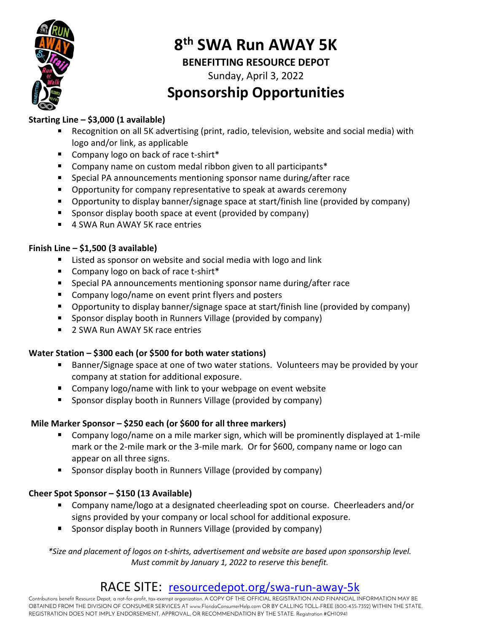

# 8<sup>th</sup> SWA Run AWAY 5K

#### BENEFITTING RESOURCE DEPOT

Sunday, April 3, 2022

## Sponsorship Opportunities

#### Starting Line – \$3,000 (1 available)

- Recognition on all 5K advertising (print, radio, television, website and social media) with logo and/or link, as applicable
- Company logo on back of race t-shirt\*
- Company name on custom medal ribbon given to all participants\*
- Special PA announcements mentioning sponsor name during/after race
- **Deportunity for company representative to speak at awards ceremony**
- Opportunity to display banner/signage space at start/finish line (provided by company)
- **Sponsor display booth space at event (provided by company)**
- 4 SWA Run AWAY 5K race entries

#### Finish Line – \$1,500 (3 available)

- Listed as sponsor on website and social media with logo and link
- Company logo on back of race t-shirt\*
- Special PA announcements mentioning sponsor name during/after race
- Company logo/name on event print flyers and posters
- Opportunity to display banner/signage space at start/finish line (provided by company)
- **Sponsor display booth in Runners Village (provided by company)**
- 2 SWA Run AWAY 5K race entries

#### Water Station – \$300 each (or \$500 for both water stations)

- Banner/Signage space at one of two water stations. Volunteers may be provided by your company at station for additional exposure.
- **EXT** Company logo/name with link to your webpage on event website
- Sponsor display booth in Runners Village (provided by company)

#### Mile Marker Sponsor – \$250 each (or \$600 for all three markers)

- Company logo/name on a mile marker sign, which will be prominently displayed at 1-mile mark or the 2-mile mark or the 3-mile mark. Or for \$600, company name or logo can appear on all three signs.
- **Sponsor display booth in Runners Village (provided by company)**

#### Cheer Spot Sponsor – \$150 (13 Available)

- Company name/logo at a designated cheerleading spot on course. Cheerleaders and/or signs provided by your company or local school for additional exposure.
- **Sponsor display booth in Runners Village (provided by company)**

\*Size and placement of logos on t-shirts, advertisement and website are based upon sponsorship level. Must commit by January 1, 2022 to reserve this benefit.

### RACE SITE: resourcedepot.org/swa-run-away-5k

Contributions benefit Resource Depot, a not-for-profit, tax-exempt organization. A COPY OF THE OFFICIAL REGISTRATION AND FINANCIAL INFORMATION MAY BE OBTAINED FROM THE DIVISION OF CONSUMER SERVICES AT www.FloridaConsumerHelp.com OR BY CALLING TOLL-FREE (800-435-7352) WITHIN THE STATE. REGISTRATION DOES NOT IMPLY ENDORSEMENT, APPROVAL, OR RECOMMENDATION BY THE STATE. Registration #CH10941